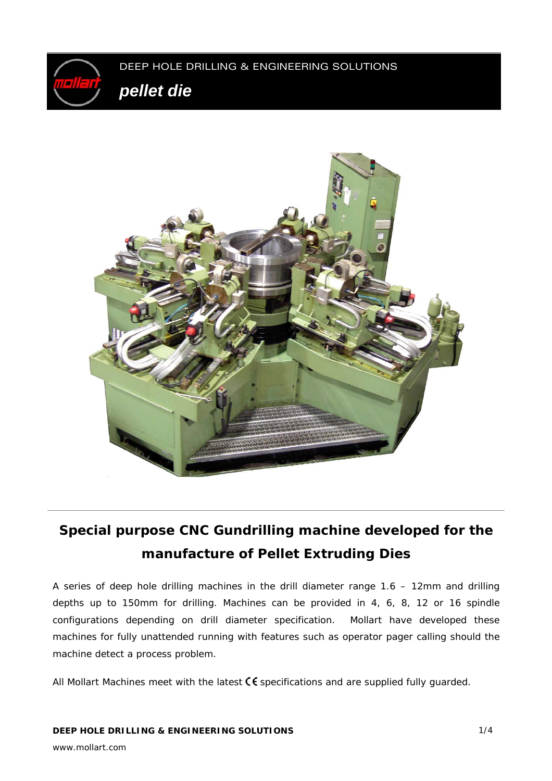



# **Special purpose CNC Gundrilling machine developed for the manufacture of Pellet Extruding Dies**

A series of deep hole drilling machines in the drill diameter range 1.6 – 12mm and drilling depths up to 150mm for drilling. Machines can be provided in 4, 6, 8, 12 or 16 spindle configurations depending on drill diameter specification. Mollart have developed these machines for fully unattended running with features such as operator pager calling should the machine detect a process problem.

All Mollart Machines meet with the latest  $\mathsf C \mathsf \mathsf {f}$  specifications and are supplied fully quarded.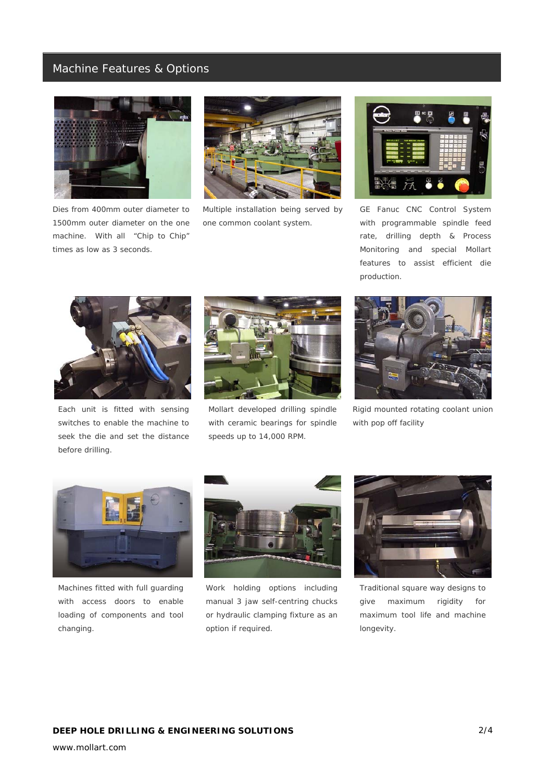### Machine Features & Options



*Dies from 400mm outer diameter to 1500mm outer diameter on the one machine. With all "Chip to Chip" times as low as 3 seconds.*



*Multiple installation being served by one common coolant system.* 



*GE Fanuc CNC Control System with programmable spindle feed rate, drilling depth & Process Monitoring and special Mollart features to assist efficient die production.* 



*Each unit is fitted with sensing switches to enable the machine to seek the die and set the distance before drilling.* 



*Mollart developed drilling spindle with ceramic bearings for spindle speeds up to 14,000 RPM.* 



*Rigid mounted rotating coolant union with pop off facility* 



*Machines fitted with full guarding with access doors to enable loading of components and tool changing.* 



*Work holding options including manual 3 jaw self-centring chucks or hydraulic clamping fixture as an option if required.* 



*Traditional square way designs to give maximum rigidity for maximum tool life and machine longevity.*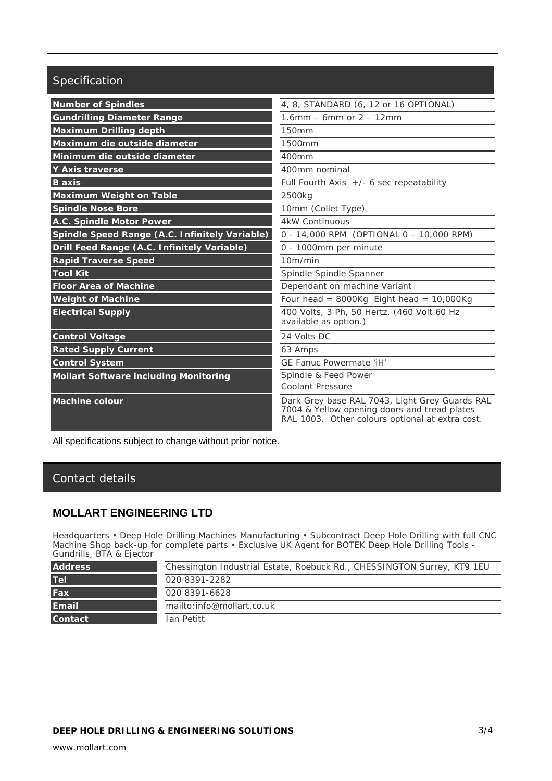# Specification

| <b>Number of Spindles</b>                      | 4, 8, STANDARD (6, 12 or 16 OPTIONAL)                                                                                                             |
|------------------------------------------------|---------------------------------------------------------------------------------------------------------------------------------------------------|
| <b>Gundrilling Diameter Range</b>              | 1.6mm – 6mm or $2 - 12$ mm                                                                                                                        |
| <b>Maximum Drilling depth</b>                  | 150mm                                                                                                                                             |
| Maximum die outside diameter                   | 1500mm                                                                                                                                            |
| Minimum die outside diameter                   | 400mm                                                                                                                                             |
| Y Axis traverse                                | 400mm nominal                                                                                                                                     |
| <b>B</b> axis                                  | Full Fourth Axis $+/-$ 6 sec repeatability                                                                                                        |
| <b>Maximum Weight on Table</b>                 | 2500kg                                                                                                                                            |
| <b>Spindle Nose Bore</b>                       | 10mm (Collet Type)                                                                                                                                |
| A.C. Spindle Motor Power                       | <b>4kW Continuous</b>                                                                                                                             |
| Spindle Speed Range (A.C. Infinitely Variable) | 0 - 14,000 RPM (OPTIONAL 0 - 10,000 RPM)                                                                                                          |
| Drill Feed Range (A.C. Infinitely Variable)    | 0 - 1000mm per minute                                                                                                                             |
| <b>Rapid Traverse Speed</b>                    | 10m/min                                                                                                                                           |
| <b>Tool Kit</b>                                | Spindle Spindle Spanner                                                                                                                           |
| <b>Floor Area of Machine</b>                   | Dependant on machine Variant                                                                                                                      |
| <b>Weight of Machine</b>                       | Four head = $8000Kg$ Eight head = $10,000Kg$                                                                                                      |
| <b>Electrical Supply</b>                       | 400 Volts, 3 Ph, 50 Hertz. (460 Volt 60 Hz<br>available as option.)                                                                               |
| <b>Control Voltage</b>                         | 24 Volts DC                                                                                                                                       |
| <b>Rated Supply Current</b>                    | 63 Amps                                                                                                                                           |
| <b>Control System</b>                          | GE Fanuc Powermate 'iH'                                                                                                                           |
| <b>Mollart Software including Monitoring</b>   | Spindle & Feed Power<br><b>Coolant Pressure</b>                                                                                                   |
| <b>Machine colour</b>                          | Dark Grey base RAL 7043, Light Grey Guards RAL<br>7004 & Yellow opening doors and tread plates<br>RAL 1003. Other colours optional at extra cost. |

All specifications subject to change without prior notice.

## Contact details

### **MOLLART ENGINEERING LTD**

Headquarters • Deep Hole Drilling Machines Manufacturing • Subcontract Deep Hole Drilling with full CNC Machine Shop back-up for complete parts • Exclusive UK Agent for BOTEK Deep Hole Drilling Tools - Gundrills, BTA & Ejector

| <b>Address</b> | Chessington Industrial Estate, Roebuck Rd., CHESSINGTON Surrey, KT9 1EU |
|----------------|-------------------------------------------------------------------------|
| <b>Tel</b>     | 020 8391-2282                                                           |
| Fax            | 020 8391-6628                                                           |
| <b>Email</b>   | mailto: info@mollart.co.uk                                              |
| <b>Contact</b> | Ian Petitt                                                              |